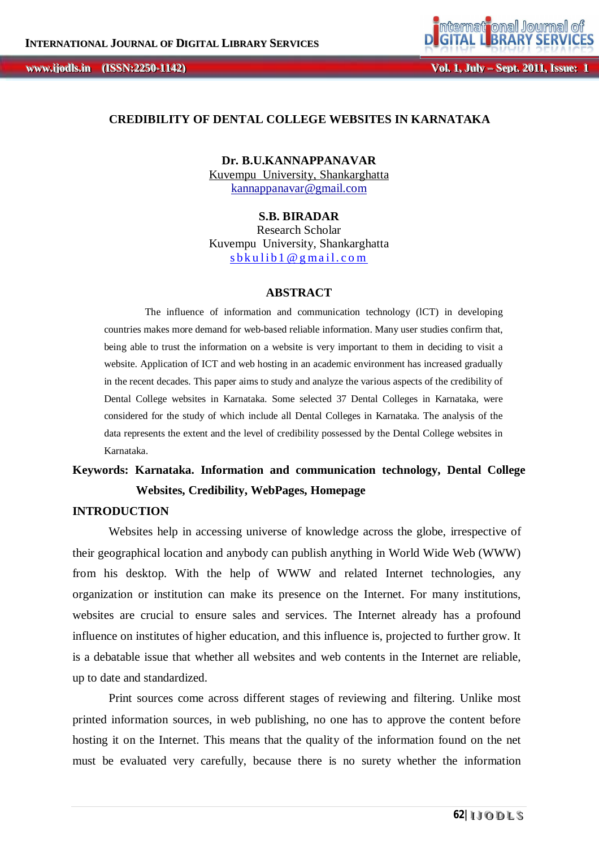## **CREDIBILITY OF DENTAL COLLEGE WEBSITES IN KARNATAKA**

**Dr. B.U.KANNAPPANAVAR** Kuvempu University, Shankarghatta kannappanavar@gmail.com

## **S.B. BIRADAR**

Research Scholar Kuvempu University, Shankarghatta  $sb$ kulib 1 @ g mail.com

#### **ABSTRACT**

The influence of information and communication technology (lCT) in developing countries makes more demand for web-based reliable information. Many user studies confirm that, being able to trust the information on a website is very important to them in deciding to visit a website. Application of ICT and web hosting in an academic environment has increased gradually in the recent decades. This paper aims to study and analyze the various aspects of the credibility of Dental College websites in Karnataka. Some selected 37 Dental Colleges in Karnataka, were considered for the study of which include all Dental Colleges in Karnataka. The analysis of the data represents the extent and the level of credibility possessed by the Dental College websites in Karnataka.

# **Keywords: Karnataka. Information and communication technology, Dental College Websites, Credibility, WebPages, Homepage**

## **INTRODUCTION**

Websites help in accessing universe of knowledge across the globe, irrespective of their geographical location and anybody can publish anything in World Wide Web (WWW) from his desktop. With the help of WWW and related Internet technologies, any organization or institution can make its presence on the Internet. For many institutions, websites are crucial to ensure sales and services. The Internet already has a profound influence on institutes of higher education, and this influence is, projected to further grow. It is a debatable issue that whether all websites and web contents in the Internet are reliable, up to date and standardized.

Print sources come across different stages of reviewing and filtering. Unlike most printed information sources, in web publishing, no one has to approve the content before hosting it on the Internet. This means that the quality of the information found on the net must be evaluated very carefully, because there is no surety whether the information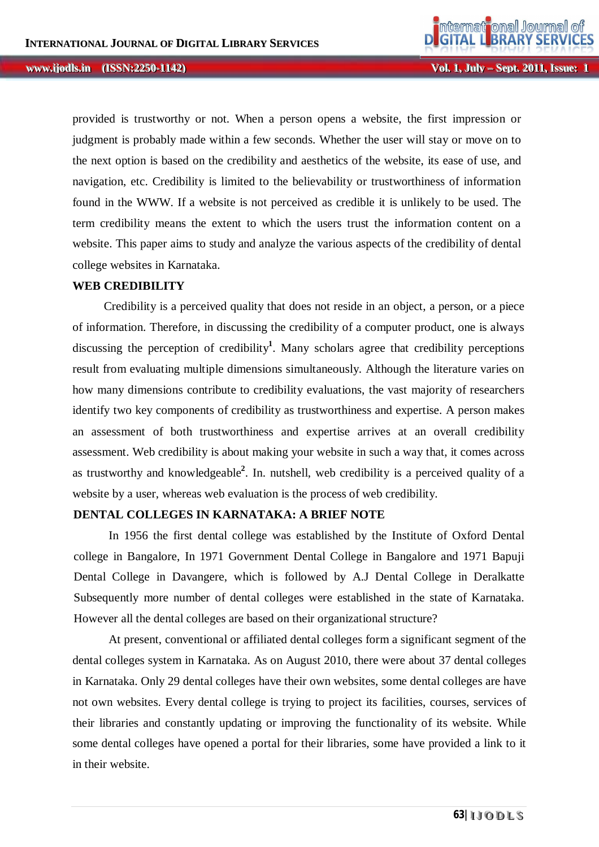**Vol. 1, Jul** *ly* **– Sept. 2011, Issue: 1** 

provided is trustworthy or not. When a person opens a website, the first impression or judgment is probably made within a few seconds. Whether the user will stay or move on to the next option is based on the credibility and aesthetics of the website, its ease of use, and navigation, etc. Credibility is limited to the believability or trustworthiness of information found in the WWW. If a website is not perceived as credible it is unlikely to be used. The term credibility means the extent to which the users trust the information content on a website. This paper aims to study and analyze the various aspects of the credibility of dental college websites in Karnataka.

### **WEB CREDIBILITY**

Credibility is a perceived quality that does not reside in an object, a person, or a piece of information. Therefore, in discussing the credibility of a computer product, one is always discussing the perception of credibility**<sup>1</sup>** . Many scholars agree that credibility perceptions result from evaluating multiple dimensions simultaneously. Although the literature varies on how many dimensions contribute to credibility evaluations, the vast majority of researchers identify two key components of credibility as trustworthiness and expertise. A person makes an assessment of both trustworthiness and expertise arrives at an overall credibility assessment. Web credibility is about making your website in such a way that, it comes across as trustworthy and knowledgeable**<sup>2</sup>** . In. nutshell, web credibility is a perceived quality of a website by a user, whereas web evaluation is the process of web credibility.

## **DENTAL COLLEGES IN KARNATAKA: A BRIEF NOTE**

In 1956 the first dental college was established by the Institute of Oxford Dental college in Bangalore, In 1971 Government Dental College in Bangalore and 1971 Bapuji Dental College in Davangere, which is followed by A.J Dental College in Deralkatte Subsequently more number of dental colleges were established in the state of Karnataka. However all the dental colleges are based on their organizational structure?

At present, conventional or affiliated dental colleges form a significant segment of the dental colleges system in Karnataka. As on August 2010, there were about 37 dental colleges in Karnataka. Only 29 dental colleges have their own websites, some dental colleges are have not own websites. Every dental college is trying to project its facilities, courses, services of their libraries and constantly updating or improving the functionality of its website. While some dental colleges have opened a portal for their libraries, some have provided a link to it in their website.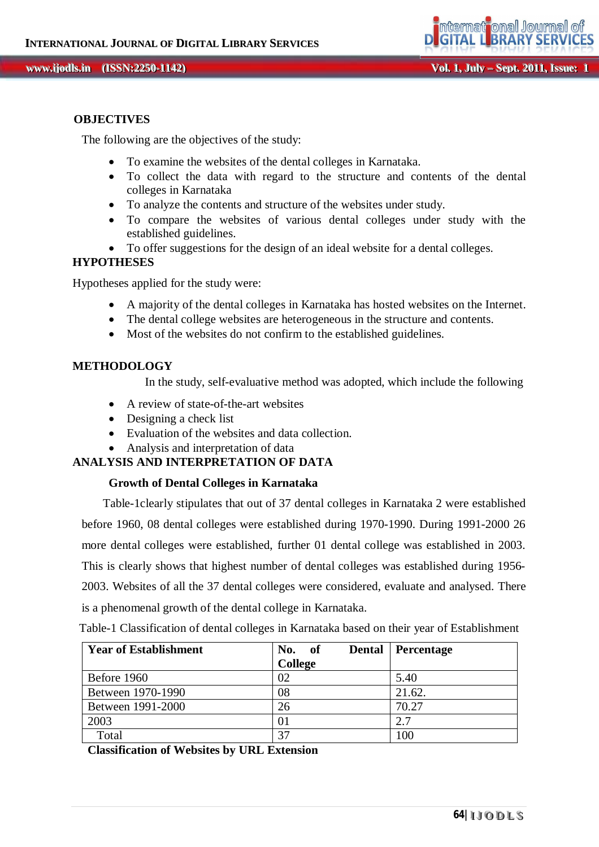#### **OBJECTIVES**

The following are the objectives of the study:

- To examine the websites of the dental colleges in Karnataka.
- To collect the data with regard to the structure and contents of the dental colleges in Karnataka
- To analyze the contents and structure of the websites under study.
- To compare the websites of various dental colleges under study with the established guidelines.
	- To offer suggestions for the design of an ideal website for a dental colleges.

## **HYPOTHESES**

Hypotheses applied for the study were:

- A majority of the dental colleges in Karnataka has hosted websites on the Internet.
- The dental college websites are heterogeneous in the structure and contents.
- Most of the websites do not confirm to the established guidelines.

## **METHODOLOGY**

In the study, self-evaluative method was adopted, which include the following

- A review of state-of-the-art websites
- Designing a check list
- Evaluation of the websites and data collection.
- Analysis and interpretation of data

## **ANALYSIS AND INTERPRETATION OF DATA**

#### **Growth of Dental Colleges in Karnataka**

 Table-1clearly stipulates that out of 37 dental colleges in Karnataka 2 were established before 1960, 08 dental colleges were established during 1970-1990. During 1991-2000 26 more dental colleges were established, further 01 dental college was established in 2003. This is clearly shows that highest number of dental colleges was established during 1956- 2003. Websites of all the 37 dental colleges were considered, evaluate and analysed. There is a phenomenal growth of the dental college in Karnataka.

| <b>Year of Establishment</b> | No.<br><b>Dental</b><br>- of | <b>Percentage</b> |
|------------------------------|------------------------------|-------------------|
|                              | <b>College</b>               |                   |
| Before 1960                  | 02                           | 5.40              |
| Between 1970-1990            | 08                           | 21.62.            |
| Between 1991-2000            | 26                           | 70.27             |
| 2003                         | 01                           | 2.7               |
| Total                        | 37                           | 100               |

Table-1 Classification of dental colleges in Karnataka based on their year of Establishment

 **Classification of Websites by URL Extension**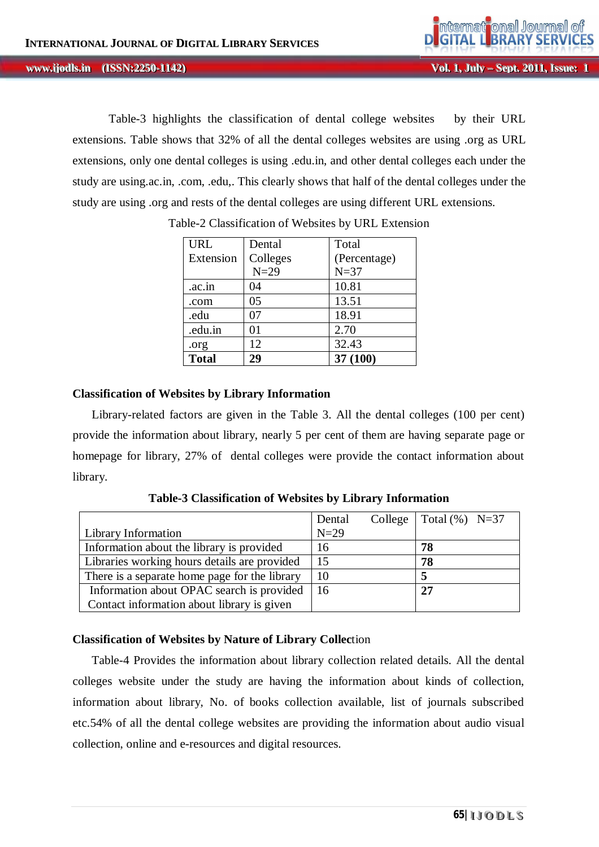Table-3 highlights the classification of dental college websites by their URL extensions. Table shows that 32% of all the dental colleges websites are using .org as URL extensions, only one dental colleges is using .edu.in, and other dental colleges each under the study are using.ac.in, .com, .edu,. This clearly shows that half of the dental colleges under the study are using .org and rests of the dental colleges are using different URL extensions.

| <b>URL</b>   | Dental   | Total        |
|--------------|----------|--------------|
| Extension    | Colleges | (Percentage) |
|              | $N=29$   | $N=37$       |
| .ac.in       | 04       | 10.81        |
| .com         | 05       | 13.51        |
| .edu         | 07       | 18.91        |
| .edu.in      | 01       | 2.70         |
| .org         | 12       | 32.43        |
| <b>Total</b> | 29       | 37 (100)     |

Table-2 Classification of Websites by URL Extension

## **Classification of Websites by Library Information**

Library-related factors are given in the Table 3. All the dental colleges (100 per cent) provide the information about library, nearly 5 per cent of them are having separate page or homepage for library, 27% of dental colleges were provide the contact information about library.

|                                               | Dental | College   Total $(\%)$ N=37 |
|-----------------------------------------------|--------|-----------------------------|
| <b>Library Information</b>                    | $N=29$ |                             |
| Information about the library is provided     | 16     | 78                          |
| Libraries working hours details are provided  | 15     | 78                          |
| There is a separate home page for the library | 10     |                             |
| Information about OPAC search is provided     | 16     | 27                          |
| Contact information about library is given    |        |                             |

**Table-3 Classification of Websites by Library Information**

## **Classification of Websites by Nature of Library Collec**tion

Table-4 Provides the information about library collection related details. All the dental colleges website under the study are having the information about kinds of collection, information about library, No. of books collection available, list of journals subscribed etc.54% of all the dental college websites are providing the information about audio visual collection, online and e-resources and digital resources.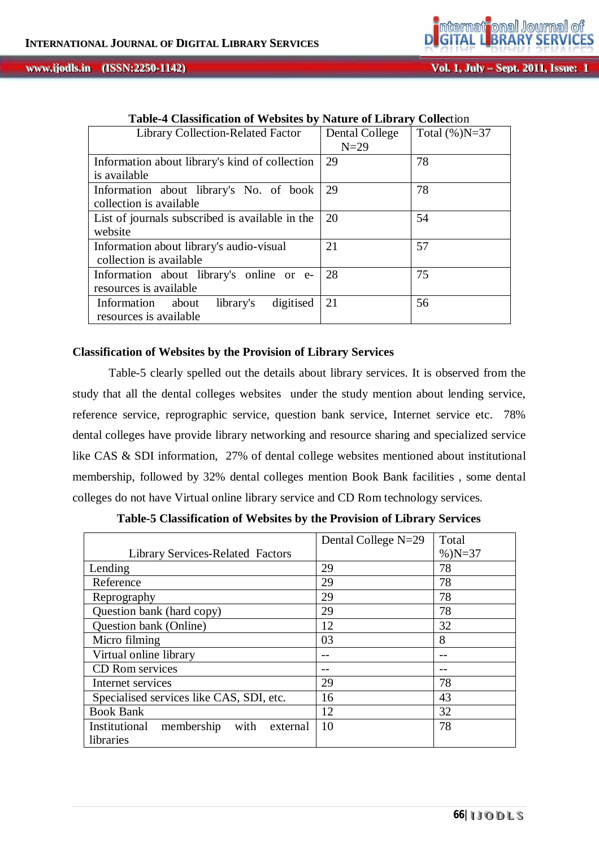#### **, IIIssuue Except Wol. 1, July – Sept. 2011, Issue:**<br> **IIIssue: IIIssue: IIIssue: IIIssue: IIIssue: IIIssue: IIIssue: IIIssue: IIIssue: IIIssue: IIIssue: IIIssue: IIIssue: IIIssue: IIIssue: ii jjooddllss...**

onal Journal of

mitermait

| <b>Library Collection-Related Factor</b>        | Dental College<br>$N=29$ | Total $(\%)N=37$ |
|-------------------------------------------------|--------------------------|------------------|
| Information about library's kind of collection  | 29                       | 78               |
| is available                                    |                          |                  |
| Information about library's No. of book         | 29                       | 78               |
| collection is available                         |                          |                  |
| List of journals subscribed is available in the | 20                       | 54               |
| website                                         |                          |                  |
| Information about library's audio-visual        | 21                       | 57               |
| collection is available                         |                          |                  |
| Information about library's online or e-        | 28                       | 75               |
| resources is available.                         |                          |                  |
| digitised<br>Information<br>library's<br>about  | 21                       | 56               |
| resources is available.                         |                          |                  |

## **Table-4 Classification of Websites by Nature of Library Collec**tion

## **Classification of Websites by the Provision of Library Services**

Table-5 clearly spelled out the details about library services. It is observed from the study that all the dental colleges websites under the study mention about lending service, reference service, reprographic service, question bank service, Internet service etc. 78% dental colleges have provide library networking and resource sharing and specialized service like CAS & SDI information, 27% of dental college websites mentioned about institutional membership, followed by 32% dental colleges mention Book Bank facilities , some dental colleges do not have Virtual online library service and CD Rom technology services.

|                                                 | Dental College N=29 | Total     |
|-------------------------------------------------|---------------------|-----------|
| <b>Library Services-Related Factors</b>         |                     | $%$ )N=37 |
| Lending                                         | 29                  | 78        |
| Reference                                       | 29                  | 78        |
| Reprography                                     | 29                  | 78        |
| Question bank (hard copy)                       | 29                  | 78        |
| Question bank (Online)                          | 12                  | 32        |
| Micro filming                                   | 03                  | 8         |
| Virtual online library                          |                     |           |
| CD Rom services                                 |                     |           |
| Internet services                               | 29                  | 78        |
| Specialised services like CAS, SDI, etc.        | 16                  | 43        |
| <b>Book Bank</b>                                | 12                  | 32        |
| with<br>Institutional<br>membership<br>external | 10                  | 78        |
| libraries                                       |                     |           |

**Table-5 Classification of Websites by the Provision of Library Services**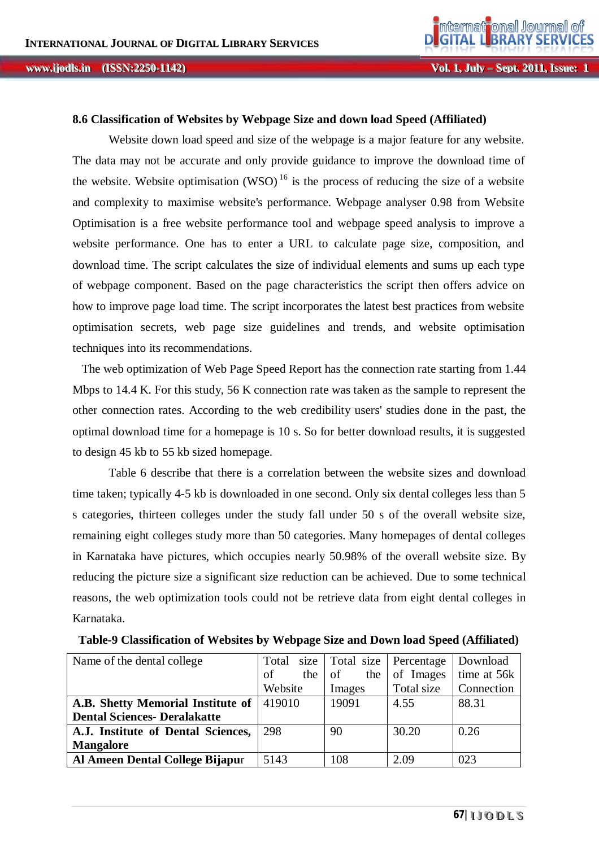#### **8.6 Classification of Websites by Webpage Size and down load Speed (Affiliated)**

Website down load speed and size of the webpage is a major feature for any website. The data may not be accurate and only provide guidance to improve the download time of the website. Website optimisation (WSO)<sup>16</sup> is the process of reducing the size of a website and complexity to maximise website's performance. Webpage analyser 0.98 from Website Optimisation is a free website performance tool and webpage speed analysis to improve a website performance. One has to enter a URL to calculate page size, composition, and download time. The script calculates the size of individual elements and sums up each type of webpage component. Based on the page characteristics the script then offers advice on how to improve page load time. The script incorporates the latest best practices from website optimisation secrets, web page size guidelines and trends, and website optimisation techniques into its recommendations.

The web optimization of Web Page Speed Report has the connection rate starting from 1.44 Mbps to 14.4 K. For this study, 56 K connection rate was taken as the sample to represent the other connection rates. According to the web credibility users' studies done in the past, the optimal download time for a homepage is 10 s. So for better download results, it is suggested to design 45 kb to 55 kb sized homepage.

Table 6 describe that there is a correlation between the website sizes and download time taken; typically 4-5 kb is downloaded in one second. Only six dental colleges less than 5 s categories, thirteen colleges under the study fall under 50 s of the overall website size, remaining eight colleges study more than 50 categories. Many homepages of dental colleges in Karnataka have pictures, which occupies nearly 50.98% of the overall website size. By reducing the picture size a significant size reduction can be achieved. Due to some technical reasons, the web optimization tools could not be retrieve data from eight dental colleges in Karnataka.

| Name of the dental college          | size<br>Total | Total size Percentage |            | Download          |
|-------------------------------------|---------------|-----------------------|------------|-------------------|
|                                     | οf<br>the     | of<br>the             | of Images  | time at 56k       |
|                                     | Website       | Images                | Total size | <b>Connection</b> |
| A.B. Shetty Memorial Institute of   | 419010        | 19091                 | 4.55       | 88.31             |
| <b>Dental Sciences- Deralakatte</b> |               |                       |            |                   |
| A.J. Institute of Dental Sciences,  | 298           | 90                    | 30.20      | 0.26              |
| <b>Mangalore</b>                    |               |                       |            |                   |
| Al Ameen Dental College Bijapur     | 5143          | 108                   | 2.09       | 023               |

**Table-9 Classification of Websites by Webpage Size and Down load Speed (Affiliated)**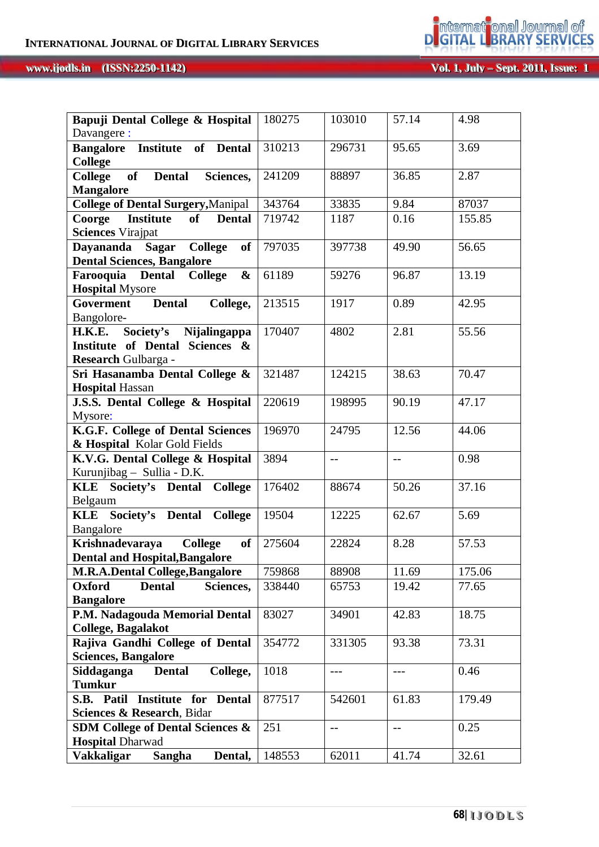#### **VVool l . .. 11, , JJuul lyy–––SSeeppt t . .. 22001111, , IIssssuuee: wwwwww... :: 11 iiodls.in** (ISSN:2250-1142)

**International Journal of** 

| Bapuji Dental College & Hospital                                                  | 180275 | 103010 | 57.14 | 4.98               |
|-----------------------------------------------------------------------------------|--------|--------|-------|--------------------|
| Davangere :                                                                       |        |        |       |                    |
| <b>Bangalore</b> Institute of<br><b>Dental</b><br><b>College</b>                  | 310213 | 296731 | 95.65 | 3.69               |
| <b>College</b><br>of<br>Sciences,<br><b>Dental</b><br><b>Mangalore</b>            | 241209 | 88897  | 36.85 | 2.87               |
| <b>College of Dental Surgery, Manipal</b>                                         | 343764 | 33835  | 9.84  | 87037              |
| <b>Institute</b><br>of<br>Coorge<br><b>Dental</b>                                 | 719742 | 1187   | 0.16  | 155.85             |
| <b>Sciences</b> Virajpat                                                          |        |        |       |                    |
| Dayananda Sagar College<br><b>of</b>                                              | 797035 | 397738 | 49.90 | 56.65              |
| <b>Dental Sciences, Bangalore</b>                                                 |        |        |       |                    |
| Farooquia Dental<br><b>College</b><br>$\boldsymbol{\&}$<br><b>Hospital Mysore</b> | 61189  | 59276  | 96.87 | 13.19              |
| <b>Dental</b><br>College,<br>Goverment<br>Bangolore-                              | 213515 | 1917   | 0.89  | 42.95              |
| H.K.E. Society's Nijalingappa                                                     | 170407 | 4802   | 2.81  | 55.56              |
| Institute of Dental Sciences &<br>Research Gulbarga -                             |        |        |       |                    |
| Sri Hasanamba Dental College &                                                    | 321487 | 124215 | 38.63 | $70.\overline{47}$ |
| <b>Hospital Hassan</b>                                                            |        |        |       |                    |
| J.S.S. Dental College & Hospital<br>Mysore:                                       | 220619 | 198995 | 90.19 | 47.17              |
| K.G.F. College of Dental Sciences                                                 | 196970 | 24795  | 12.56 | 44.06              |
| & Hospital Kolar Gold Fields                                                      |        |        |       |                    |
| K.V.G. Dental College & Hospital                                                  | 3894   | $-$    | $-$   | 0.98               |
| Kurunjibag - Sullia - D.K.                                                        |        |        |       |                    |
| <b>KLE</b><br>Society's Dental<br><b>College</b>                                  | 176402 | 88674  | 50.26 | 37.16              |
| Belgaum                                                                           |        |        |       |                    |
| Society's Dental College<br><b>KLE</b>                                            | 19504  | 12225  | 62.67 | 5.69               |
| Bangalore                                                                         |        |        |       |                    |
| <b>College</b><br>Krishnadevaraya<br>of                                           | 275604 | 22824  | 8.28  | 57.53              |
| <b>Dental and Hospital, Bangalore</b>                                             |        |        |       |                    |
| <b>M.R.A.Dental College, Bangalore</b>                                            | 759868 | 88908  | 11.69 | 175.06             |
| Oxford<br><b>Dental</b><br>Sciences,                                              | 338440 | 65753  | 19.42 | 77.65              |
| <b>Bangalore</b>                                                                  |        |        |       |                    |
| P.M. Nadagouda Memorial Dental<br><b>College, Bagalakot</b>                       | 83027  | 34901  | 42.83 | 18.75              |
| Rajiva Gandhi College of Dental                                                   | 354772 | 331305 | 93.38 | 73.31              |
| <b>Sciences, Bangalore</b>                                                        |        |        |       |                    |
| Siddaganga<br><b>Dental</b><br>College,<br><b>Tumkur</b>                          | 1018   | $---$  | ---   | 0.46               |
| S.B. Patil Institute for Dental                                                   | 877517 | 542601 | 61.83 | 179.49             |
| Sciences & Research, Bidar                                                        |        |        |       |                    |
| <b>SDM College of Dental Sciences &amp;</b><br><b>Hospital Dharwad</b>            | 251    | $-$    | $-$   | 0.25               |
| Vakkaligar<br>Sangha<br>Dental,                                                   | 148553 | 62011  | 41.74 | 32.61              |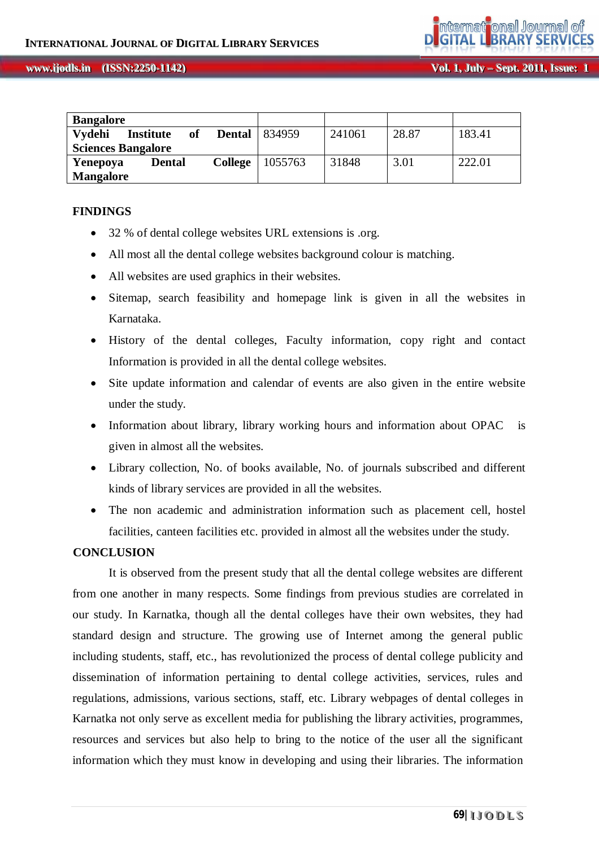| <b>Bangalore</b>          |                  |                     |         |        |       |        |
|---------------------------|------------------|---------------------|---------|--------|-------|--------|
| Vydehi                    | <b>Institute</b> | of<br><b>Dental</b> | 834959  | 241061 | 28.87 | 183.41 |
| <b>Sciences Bangalore</b> |                  |                     |         |        |       |        |
| Yenepoya                  | Dental           | <b>College</b>      | 1055763 | 31848  | 3.01  | 222.01 |
| <b>Mangalore</b>          |                  |                     |         |        |       |        |

## **FINDINGS**

- 32 % of dental college websites URL extensions is .org.
- All most all the dental college websites background colour is matching.
- All websites are used graphics in their websites.
- Sitemap, search feasibility and homepage link is given in all the websites in Karnataka.
- History of the dental colleges, Faculty information, copy right and contact Information is provided in all the dental college websites.
- Site update information and calendar of events are also given in the entire website under the study.
- Information about library, library working hours and information about OPAC is given in almost all the websites.
- Library collection, No. of books available, No. of journals subscribed and different kinds of library services are provided in all the websites.
- The non academic and administration information such as placement cell, hostel facilities, canteen facilities etc. provided in almost all the websites under the study.

## **CONCLUSION**

It is observed from the present study that all the dental college websites are different from one another in many respects. Some findings from previous studies are correlated in our study. In Karnatka, though all the dental colleges have their own websites, they had standard design and structure. The growing use of Internet among the general public including students, staff, etc., has revolutionized the process of dental college publicity and dissemination of information pertaining to dental college activities, services, rules and regulations, admissions, various sections, staff, etc. Library webpages of dental colleges in Karnatka not only serve as excellent media for publishing the library activities, programmes, resources and services but also help to bring to the notice of the user all the significant information which they must know in developing and using their libraries. The information